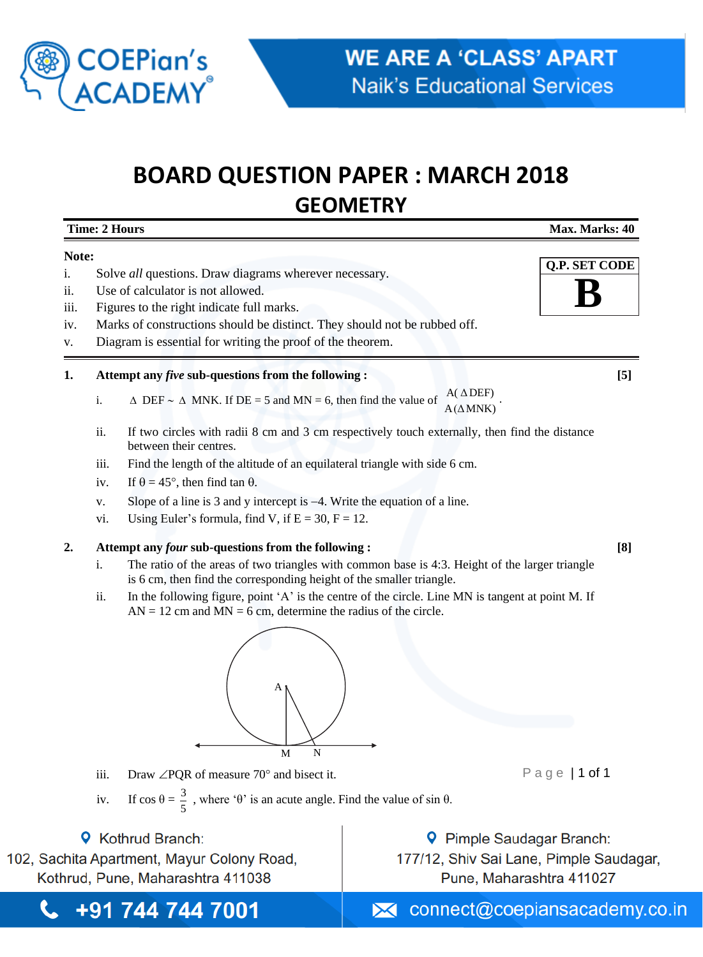

+91 744 744 7001

L

# **BOARD QUESTION PAPER : MARCH 2018 GEOMETRY**

**Time: 2 Hours Max. Marks: 40**

| Note: |                                                                                       |                                                                                                                                                                        |                                       | <b>Q.P. SET CODE</b>     |  |
|-------|---------------------------------------------------------------------------------------|------------------------------------------------------------------------------------------------------------------------------------------------------------------------|---------------------------------------|--------------------------|--|
| i.    |                                                                                       | Solve all questions. Draw diagrams wherever necessary.                                                                                                                 |                                       |                          |  |
| ii.   |                                                                                       | Use of calculator is not allowed.                                                                                                                                      |                                       |                          |  |
| iii.  | Figures to the right indicate full marks.                                             |                                                                                                                                                                        |                                       |                          |  |
| iv.   |                                                                                       | Marks of constructions should be distinct. They should not be rubbed off.                                                                                              |                                       |                          |  |
| v.    | Diagram is essential for writing the proof of the theorem.                            |                                                                                                                                                                        |                                       |                          |  |
| 1.    |                                                                                       | Attempt any <i>five</i> sub-questions from the following :<br>[5]                                                                                                      |                                       |                          |  |
|       | i.                                                                                    | $\triangle$ DEF ~ $\triangle$ MNK. If DE = 5 and MN = 6, then find the value of                                                                                        | $A(\triangle DEF)$<br>$A(\Delta MNK)$ |                          |  |
|       | ii.                                                                                   | If two circles with radii 8 cm and 3 cm respectively touch externally, then find the distance<br>between their centres.                                                |                                       |                          |  |
|       | iii.                                                                                  | Find the length of the altitude of an equilateral triangle with side 6 cm.                                                                                             |                                       |                          |  |
|       | iv.                                                                                   | If $\theta = 45^{\circ}$ , then find tan $\theta$ .                                                                                                                    |                                       |                          |  |
|       | V.                                                                                    | Slope of a line is 3 and y intercept is $-4$ . Write the equation of a line.                                                                                           |                                       |                          |  |
|       | vi.                                                                                   | Using Euler's formula, find V, if $E = 30$ , $F = 12$ .                                                                                                                |                                       |                          |  |
| 2.    |                                                                                       | Attempt any four sub-questions from the following :<br>[8]                                                                                                             |                                       |                          |  |
|       | i.                                                                                    | The ratio of the areas of two triangles with common base is 4:3. Height of the larger triangle<br>is 6 cm, then find the corresponding height of the smaller triangle. |                                       |                          |  |
|       | ii.                                                                                   | In the following figure, point 'A' is the centre of the circle. Line MN is tangent at point M. If<br>$AN = 12$ cm and $MN = 6$ cm, determine the radius of the circle. |                                       |                          |  |
|       |                                                                                       | А<br>N<br>M                                                                                                                                                            |                                       |                          |  |
|       | iii.                                                                                  | Draw $\angle$ PQR of measure 70 $\degree$ and bisect it.                                                                                                               |                                       | Page   1 of 1            |  |
|       | iv.                                                                                   | If $\cos \theta = \frac{3}{5}$ , where ' $\theta$ ' is an acute angle. Find the value of $\sin \theta$ .                                                               |                                       |                          |  |
|       | 9.                                                                                    | <b>Kothrud Branch:</b>                                                                                                                                                 | Pimple Saudagar Branch:               |                          |  |
|       | 102, Sachita Apartment, Mayur Colony Road,<br>177/12, Shiv Sai Lane, Pimple Saudagar, |                                                                                                                                                                        |                                       |                          |  |
|       |                                                                                       | Kothrud, Pune, Maharashtra 411038                                                                                                                                      |                                       | Pune, Maharashtra 411027 |  |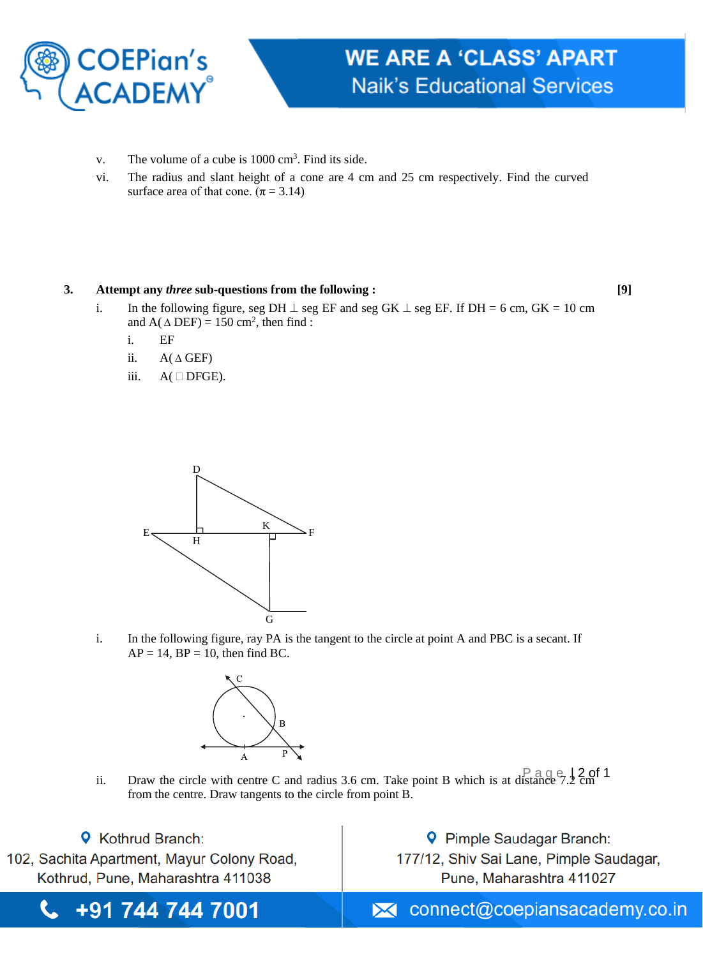

- v. The volume of a cube is  $1000 \text{ cm}^3$ . Find its side.
- vi. The radius and slant height of a cone are 4 cm and 25 cm respectively. Find the curved surface area of that cone.  $(\pi = 3.14)$

## **3. Attempt any** *three* **sub-questions from the following : [9]**

- i. In the following figure, seg DH  $\perp$  seg EF and seg GK  $\perp$  seg EF. If DH = 6 cm, GK = 10 cm and  $A(\triangle DEF) = 150 \text{ cm}^2$ , then find:
	- i. EF
	- ii.  $A(\triangle GEF)$
	- iii.  $A(\Box$  DFGE).



i. In the following figure, ray PA is the tangent to the circle at point A and PBC is a secant. If  $AP = 14$ ,  $BP = 10$ , then find BC.



ii. Draw the circle with centre C and radius 3.6 cm. Take point B which is at distance  $7.2 \text{ cm}$ <sup>1</sup> from the centre. Draw tangents to the circle from point B.

**9** Kothrud Branch: 102, Sachita Apartment, Mayur Colony Road, Kothrud, Pune, Maharashtra 411038

t.

**9** Pimple Saudagar Branch: 177/12, Shiv Sai Lane, Pimple Saudagar, Pune, Maharashtra 411027

 $\blacktriangleright$  connect@coepiansacademy.co.in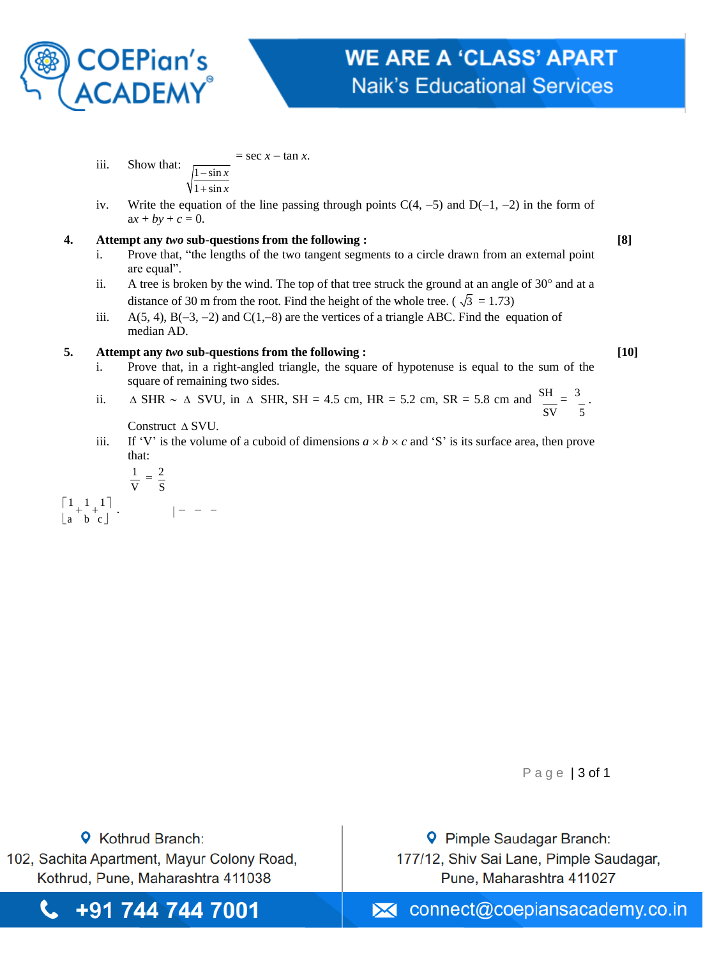

iii. Show that: 
$$
\frac{1-\sin x}{\sqrt{\frac{1-\sin x}{1+\sin x}}}
$$
 = sec  $x - \tan x$ .

iv. Write the equation of the line passing through points  $C(4, -5)$  and  $D(-1, -2)$  in the form of  $ax + by + c = 0.$ 

#### **4. Attempt any** *two* **sub-questions from the following : [8]**

- i. Prove that, "the lengths of the two tangent segments to a circle drawn from an external point are equal".
- distance of 30 m from the root. Find the height of the whole tree. ( $\sqrt{3} = 1.73$ ) ii. A tree is broken by the wind. The top of that tree struck the ground at an angle of  $30^{\circ}$  and at a
- iii. A(5, 4), B(−3, −2) and C(1,−8) are the vertices of a triangle ABC. Find the equation of median AD.

## **5. Attempt any** *two* **sub-questions from the following : [10]**

- i. Prove that, in a right-angled triangle, the square of hypotenuse is equal to the sum of the square of remaining two sides.
- ii.  $\triangle$  SHR  $\sim \triangle$  SVU, in  $\triangle$  SHR, SH = 4.5 cm, HR = 5.2 cm, SR = 5.8 cm and  $\frac{\text{SH}}{\text{S}} = \frac{3}{2}$ . SV 5

Construct  $\triangle$  SVU.

iii. If 'V' is the volume of a cuboid of dimensions  $a \times b \times c$  and 'S' is its surface area, then prove that:

$$
\frac{1}{V} = \frac{2}{S}
$$
\n
$$
\begin{bmatrix} 1 & 1 & 1 \\ a & b & c \end{bmatrix} \qquad | - - -
$$

Page | 3 of 1

**9** Kothrud Branch: 102, Sachita Apartment, Mayur Colony Road, Kothrud, Pune, Maharashtra 411038

t.

**9** Pimple Saudagar Branch: 177/12, Shiv Sai Lane, Pimple Saudagar, Pune, Mah

+91 744 744 7001  $\blacktriangleright$  connect@coepiansacademy.co.in